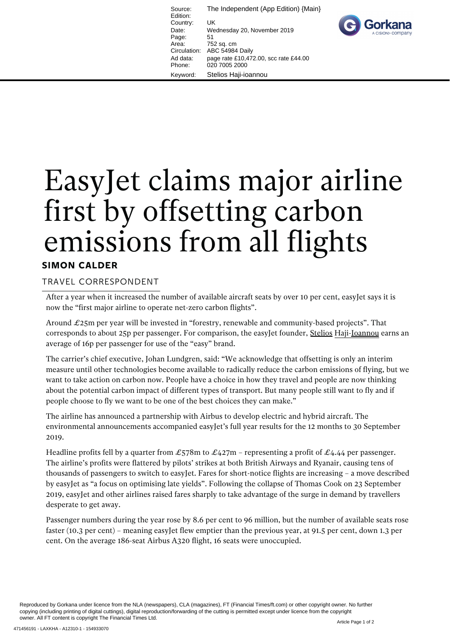Source: The Independent (App Edition) {Main} Edition: Country: UK Date: Wednesday 20, November 2019 Page: 51<br>Area: 75 752 sq. cm Circulation: ABC 54984 Daily Ad data: page rate £10,472.00, scc rate £44.00 Phone: 020 7005 2000 Keyword: Stelios Haji-ioannou



## EasyJet claims major airline first by offsetting carbon emissions from all flights

## **SIMON CALDER**

## TRAVEL CORRESPONDENT

After a year when it increased the number of available aircraft seats by over 10 per cent, easyJet says it is now the "first major airline to operate net-zero carbon flights".

Around  $\pounds$ 25m per year will be invested in "forestry, renewable and community-based projects". That corresponds to about 25p per passenger. For comparison, the easyJet founder, Stelios Haji-Loannou earns an average of 16p per passenger for use of the "easy" brand.

The carrier's chief executive, Johan Lundgren, said: "We acknowledge that offsetting is only an interim measure until other technologies become available to radically reduce the carbon emissions of flying, but we want to take action on carbon now. People have a choice in how they travel and people are now thinking about the potential carbon impact of different types of transport. But many people still want to fly and if people choose to fly we want to be one of the best choices they can make."

The airline has announced a partnership with Airbus to develop electric and hybrid aircraft. The environmental announcements accompanied easy Jet's full year results for the 12 months to 30 September 2019.

Headline profits fell by a quarter from  $\mathcal{L}578m$  to  $\mathcal{L}427m$  – representing a profit of  $\mathcal{L}4.44$  per passenger. The airline's profits were flattered by pilots' strikes at both British Airways and Ryanair, causing tens of thousands of passengers to switch to easyJet. Fares for short-notice flights are increasing – a move described by easyJet as "a focus on optimising late yields". Following the collapse of Thomas Cook on 23 September 2019, easyJet and other airlines raised fares sharply to take advantage of the surge in demand by travellers desperate to get away.

Passenger numbers during the year rose by 8.6 per cent to 96 million, but the number of available seats rose faster (10.3 per cent) – meaning easyJet flew emptier than the previous year, at 91.5 per cent, down 1.3 per cent. On the average 186-seat Airbus A320 flight, 16 seats were unoccupied.

Reproduced by Gorkana under licence from the NLA (newspapers), CLA (magazines), FT (Financial Times/ft.com) or other copyright owner. No further copying (including printing of digital cuttings), digital reproduction/forwarding of the cutting is permitted except under licence from the copyright owner. All FT content is copyright The Financial Times Ltd.